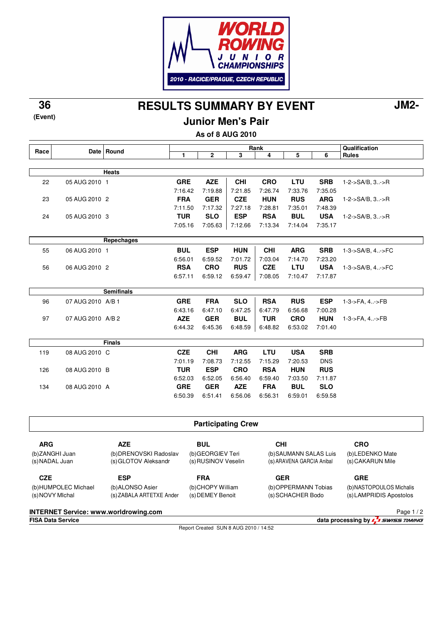

**RESULTS SUMMARY BY EVENT 36 JM2-**

**(Event)**

**Junior Men's Pair**

**As of 8 AUG 2010**

|      |                   |                   | Rank       |                                                                                       |            |            |            | Qualification |                             |
|------|-------------------|-------------------|------------|---------------------------------------------------------------------------------------|------------|------------|------------|---------------|-----------------------------|
| Race |                   | Date Round        | 1          | $\overline{\mathbf{2}}$                                                               | 3          | 4          | 5          | 6             | <b>Rules</b>                |
|      |                   |                   |            |                                                                                       |            |            |            |               |                             |
|      |                   | <b>Heats</b>      |            |                                                                                       |            |            |            |               |                             |
| 22   | 05 AUG 2010 1     |                   | <b>GRE</b> | <b>AZE</b>                                                                            | <b>CHI</b> | <b>CRO</b> | <b>LTU</b> | <b>SRB</b>    | $1 - 2 - S A/B$ , $3 - S R$ |
|      |                   |                   | 7:16.42    | 7:19.88                                                                               | 7:21.85    | 7:26.74    | 7:33.76    | 7:35.05       |                             |
| 23   | 05 AUG 2010 2     |                   | <b>FRA</b> | <b>GER</b>                                                                            | <b>CZE</b> | <b>HUN</b> | <b>RUS</b> | <b>ARG</b>    | $1 - 2 - S A/B$ , $3 - S R$ |
|      |                   |                   | 7:11.50    | 7:17.32                                                                               | 7:27.18    | 7:28.81    | 7:35.01    | 7:48.39       |                             |
| 24   | 05 AUG 2010 3     |                   | <b>TUR</b> | <b>SLO</b>                                                                            | <b>ESP</b> | <b>RSA</b> | <b>BUL</b> | <b>USA</b>    | 1-2->SA/B, 3->R             |
|      |                   |                   | 7:05.16    | 7:05.63                                                                               | 7:12.66    | 7:13.34    | 7:14.04    | 7:35.17       |                             |
|      |                   | Repechages        |            |                                                                                       |            |            |            |               |                             |
| 55   | 06 AUG 2010 1     |                   | <b>BUL</b> | <b>ESP</b>                                                                            | <b>HUN</b> | <b>CHI</b> | <b>ARG</b> | <b>SRB</b>    | 1-3->SA/B, 4->FC            |
|      |                   |                   | 6:56.01    | 6:59.52                                                                               | 7:01.72    | 7:03.04    | 7:14.70    | 7:23.20       |                             |
| 56   | 06 AUG 2010 2     |                   | <b>RSA</b> | <b>CRO</b>                                                                            | <b>RUS</b> | <b>CZE</b> | LTU        | <b>USA</b>    | 1-3->SA/B, 4->FC            |
|      |                   |                   | 6:57.11    | 6:59.12                                                                               | 6:59.47    | 7:08.05    | 7:10.47    | 7:17.87       |                             |
|      |                   | <b>Semifinals</b> |            |                                                                                       |            |            |            |               |                             |
| 96   | 07 AUG 2010 A/B 1 |                   | <b>GRE</b> | <b>FRA</b>                                                                            | <b>SLO</b> | <b>RSA</b> | <b>RUS</b> | <b>ESP</b>    | 1-3->FA, 4->FB              |
|      |                   |                   | 6:43.16    | 6:47.10                                                                               | 6:47.25    | 6:47.79    | 6:56.68    | 7:00.28       |                             |
| 97   | 07 AUG 2010 A/B 2 |                   | <b>AZE</b> | <b>GER</b>                                                                            | <b>BUL</b> | <b>TUR</b> | <b>CRO</b> | <b>HUN</b>    | 1-3->FA, 4->FB              |
|      |                   |                   | 6:44.32    | 6:45.36                                                                               | 6:48.59    | 6:48.82    | 6:53.02    | 7:01.40       |                             |
|      |                   | <b>Finals</b>     |            |                                                                                       |            |            |            |               |                             |
| 119  | 08 AUG 2010 C     |                   | <b>CZE</b> | <b>CHI</b>                                                                            | <b>ARG</b> | LTU        | <b>USA</b> | <b>SRB</b>    |                             |
|      |                   |                   | 7:01.19    | 7:08.73                                                                               | 7:12.55    | 7:15.29    | 7:20.53    | <b>DNS</b>    |                             |
| 126  | 08 AUG 2010 B     |                   | <b>TUR</b> | <b>ESP</b>                                                                            | <b>CRO</b> | <b>RSA</b> | <b>HUN</b> | <b>RUS</b>    |                             |
|      |                   |                   | 6:52.03    | 6:52.05                                                                               | 6:56.40    | 6:59.40    | 7:03.50    | 7:11.87       |                             |
| 134  | 08 AUG 2010 A     |                   | <b>GRE</b> | <b>GER</b>                                                                            | <b>AZE</b> | <b>FRA</b> | <b>BUL</b> | <b>SLO</b>    |                             |
|      |                   |                   | 6:50.39    | 6:51.41                                                                               | 6:56.06    | 6:56.31    | 6:59.01    | 6:59.58       |                             |
|      |                   |                   |            |                                                                                       |            |            |            |               |                             |
|      |                   |                   |            |                                                                                       |            |            |            |               |                             |
|      |                   |                   |            | $\mathbf{D}_{\text{max}}$ and $\mathbf{L}_{\text{max}}$ and $\mathbf{L}_{\text{max}}$ |            |            |            |               |                             |

**Participating Crew**

(b) DRENOVSKI Radoslav (s) GLOTOV Aleksandr **BUL** (b) GEORGIEV Teri (s) RUSINOV Veselin

**CZE** (b) HUMPOLEC Michael (s) NOVY MIchal

**ESP** (b) ALONSO Asier (s) ZABALA ARTETXE Ander

**AZE**

**FRA** (b) CHOPY William

(s) DEMEY Benoit

**CHI** (b) SAUMANN SALAS Luis (s) ARAVENA GARCIA Anibal

**GER** (b) OPPERMANN Tobias (s) SCHACHER Bodo

(b) NASTOPOULOS Michalis (s) LAMPRIDIS Apostolos

**INTERNET Service: www.worldrowing.com**

**ARG** (b) ZANGHI Juan (s) NADAL Juan

Report Created SUN 8 AUG 2010 / 14:52

**FISA Data Service data processing by**  $\frac{7}{2}$  *swiss TIMING* Page 1 / 2

**CRO**

**GRE**

(b) LEDENKO Mate (s) CAKARUN Mile